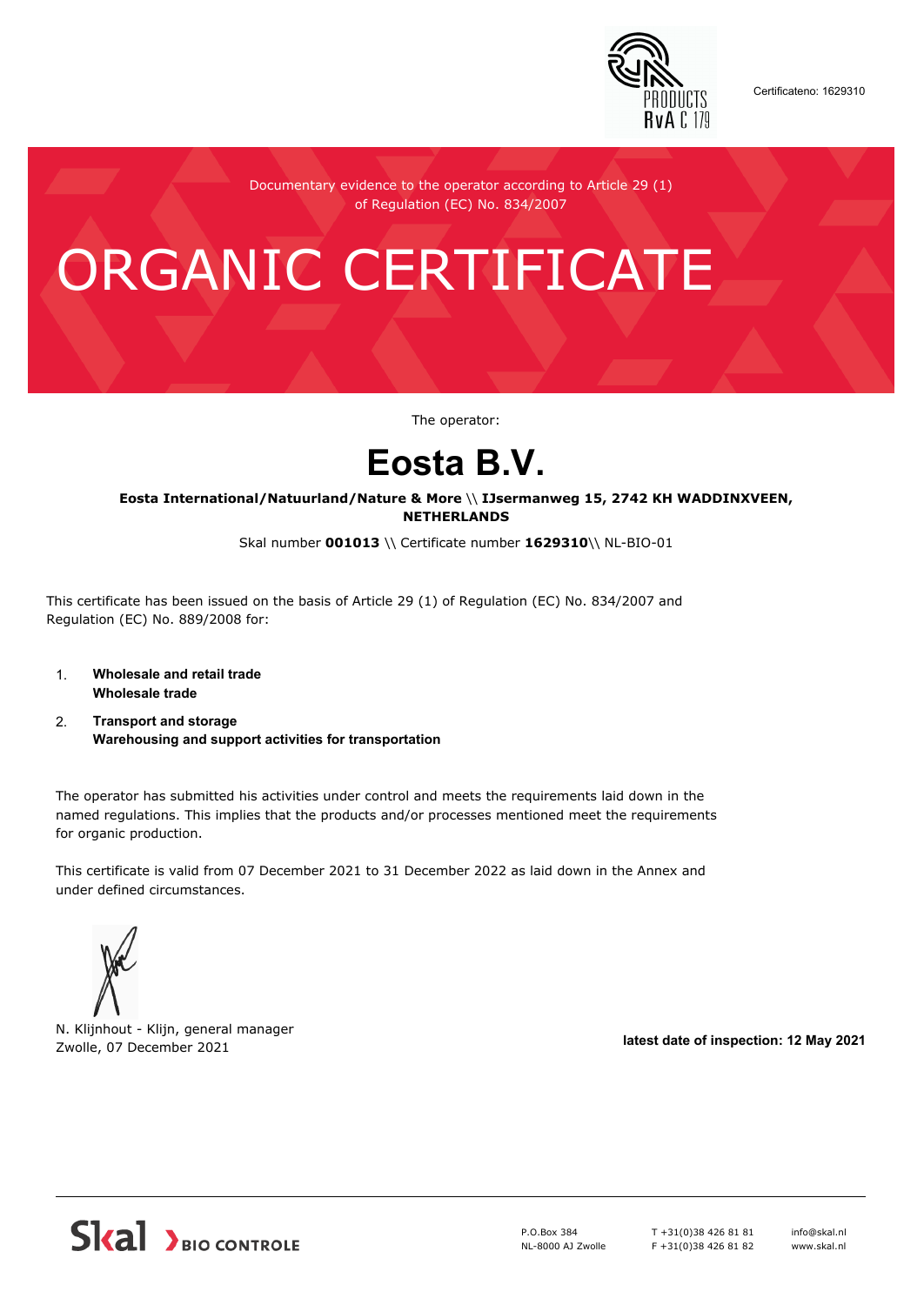

Certificateno: 1629310

Documentary evidence to the operator according to Article 29 (1) of Regulation (EC) No. 834/2007

# ORGANIC CERTIFICATE

The operator:

## **Eosta B.V.**

**Eosta International/Natuurland/Nature & More** \\ **IJsermanweg 15, 2742 KH WADDINXVEEN, NETHERLANDS**

Skal number **001013** \\ Certificate number **1629310**\\ NL-BIO-01

This certificate has been issued on the basis of Article 29 (1) of Regulation (EC) No. 834/2007 and Regulation (EC) No. 889/2008 for:

- 1. **Wholesale and retail trade Wholesale trade**
- 2. **Transport and storage Warehousing and support activities for transportation**

The operator has submitted his activities under control and meets the requirements laid down in the named regulations. This implies that the products and/or processes mentioned meet the requirements for organic production.

This certificate is valid from 07 December 2021 to 31 December 2022 as laid down in the Annex and under defined circumstances.



N. Klijnhout - Klijn, general manager Zwolle, 07 December 2021 **latest date of inspection: 12 May 2021**



P.O.Box 384 NL-8000 AJ Zwolle T +31(0)38 426 81 81 F +31(0)38 426 81 82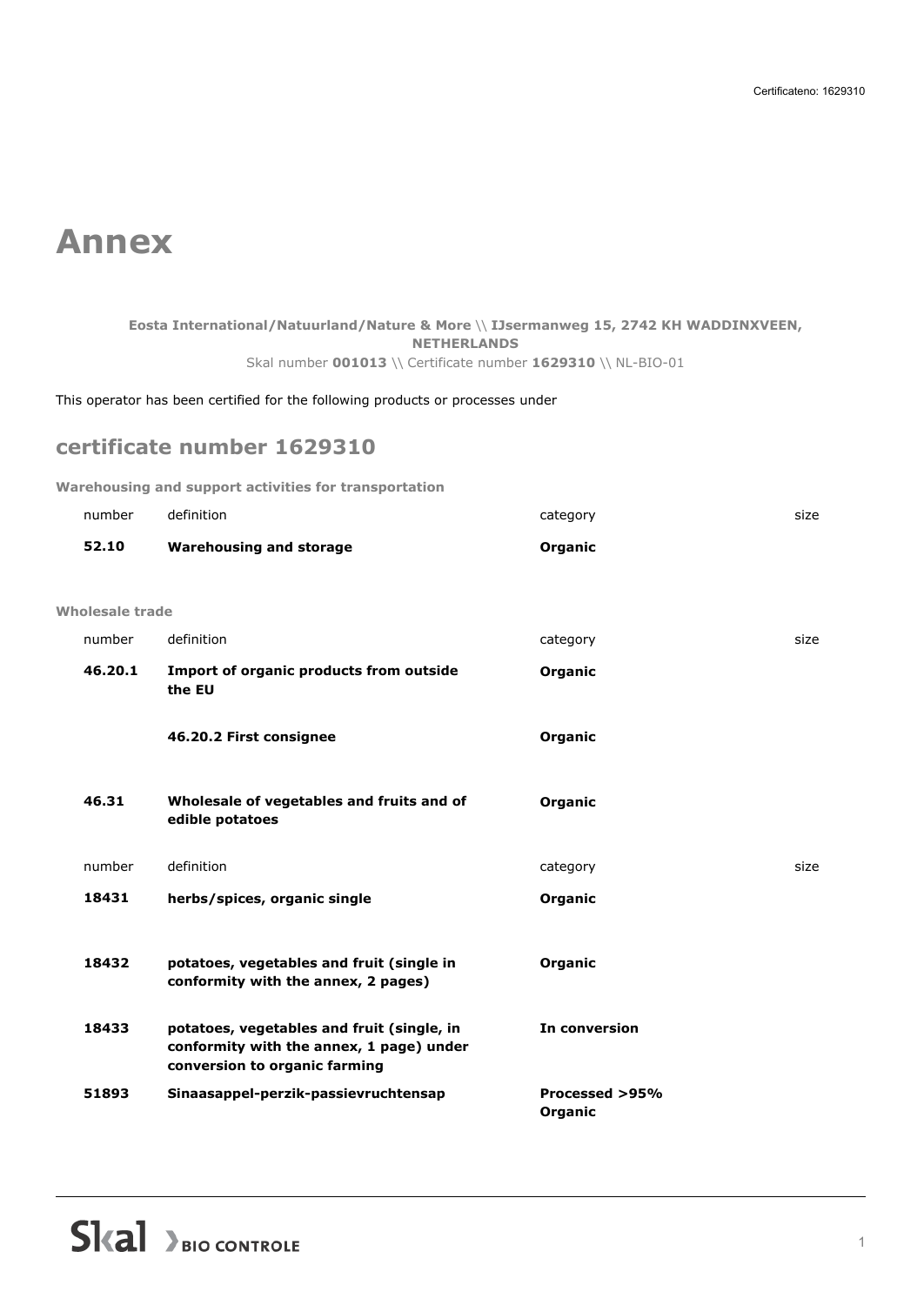### **Annex**

#### **Eosta International/Natuurland/Nature & More** \\ **IJsermanweg 15, 2742 KH WADDINXVEEN, NETHERLANDS** Skal number **001013** \\ Certificate number **1629310** \\ NL-BIO-01

This operator has been certified for the following products or processes under

#### **certificate number 1629310**

**Warehousing and support activities for transportation**

|                 | number  | definition                                                                                                              | category                  | size |
|-----------------|---------|-------------------------------------------------------------------------------------------------------------------------|---------------------------|------|
|                 | 52.10   | <b>Warehousing and storage</b>                                                                                          | Organic                   |      |
|                 |         |                                                                                                                         |                           |      |
| Wholesale trade |         |                                                                                                                         |                           |      |
|                 | number  | definition                                                                                                              | category                  | size |
|                 | 46.20.1 | Import of organic products from outside<br>the EU                                                                       | Organic                   |      |
|                 |         | 46.20.2 First consignee                                                                                                 | Organic                   |      |
|                 | 46.31   | Wholesale of vegetables and fruits and of<br>edible potatoes                                                            | Organic                   |      |
|                 | number  | definition                                                                                                              | category                  | size |
|                 | 18431   | herbs/spices, organic single                                                                                            | Organic                   |      |
|                 |         |                                                                                                                         |                           |      |
|                 | 18432   | potatoes, vegetables and fruit (single in<br>conformity with the annex, 2 pages)                                        | Organic                   |      |
|                 | 18433   | potatoes, vegetables and fruit (single, in<br>conformity with the annex, 1 page) under<br>conversion to organic farming | In conversion             |      |
|                 | 51893   | Sinaasappel-perzik-passievruchtensap                                                                                    | Processed >95%<br>Organic |      |